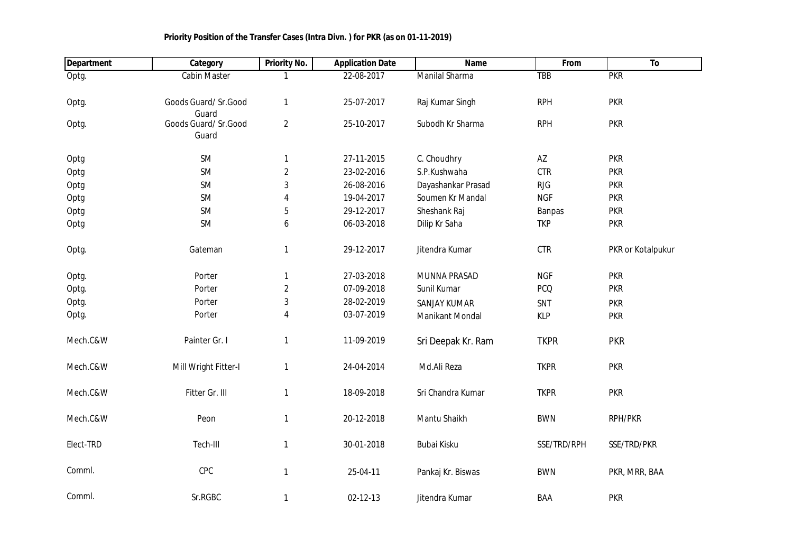| <b>Department</b> | Category                      | <b>Priority No.</b> | <b>Application Date</b> | Name                | From        | To                |
|-------------------|-------------------------------|---------------------|-------------------------|---------------------|-------------|-------------------|
| Optg.             | <b>Cabin Master</b>           |                     | 22-08-2017              | Manilal Sharma      | <b>TBB</b>  | <b>PKR</b>        |
| Optg.             | Goods Guard/ Sr.Good<br>Guard | 1                   | 25-07-2017              | Raj Kumar Singh     | <b>RPH</b>  | <b>PKR</b>        |
| Optg.             | Goods Guard/ Sr.Good<br>Guard | $\overline{2}$      | 25-10-2017              | Subodh Kr Sharma    | <b>RPH</b>  | <b>PKR</b>        |
| Optg              | <b>SM</b>                     | 1                   | 27-11-2015              | C. Choudhry         | AZ          | <b>PKR</b>        |
| Optg              | <b>SM</b>                     | $\overline{2}$      | 23-02-2016              | S.P.Kushwaha        | <b>CTR</b>  | <b>PKR</b>        |
| Optg              | <b>SM</b>                     | $\sqrt{3}$          | 26-08-2016              | Dayashankar Prasad  | <b>RJG</b>  | <b>PKR</b>        |
| Optg              | <b>SM</b>                     | 4                   | 19-04-2017              | Soumen Kr Mandal    | <b>NGF</b>  | <b>PKR</b>        |
| Optg              | SM                            | 5                   | 29-12-2017              | Sheshank Raj        | Banpas      | <b>PKR</b>        |
| Optg              | SM                            | 6                   | 06-03-2018              | Dilip Kr Saha       | <b>TKP</b>  | <b>PKR</b>        |
| Optg.             | Gateman                       | 1                   | 29-12-2017              | Jitendra Kumar      | CTR         | PKR or Kotalpukur |
| Optg.             | Porter                        | $\mathbf{1}$        | 27-03-2018              | MUNNA PRASAD        | <b>NGF</b>  | <b>PKR</b>        |
| Optg.             | Porter                        | $\overline{2}$      | 07-09-2018              | Sunil Kumar         | <b>PCQ</b>  | <b>PKR</b>        |
| Optg.             | Porter                        | $\mathbf{3}$        | 28-02-2019              | <b>SANJAY KUMAR</b> | SNT         | <b>PKR</b>        |
| Optg.             | Porter                        | $\overline{4}$      | 03-07-2019              | Manikant Mondal     | <b>KLP</b>  | <b>PKR</b>        |
| Mech.C&W          | Painter Gr. I                 | $\mathbf{1}$        | 11-09-2019              | Sri Deepak Kr. Ram  | <b>TKPR</b> | <b>PKR</b>        |
| Mech.C&W          | Mill Wright Fitter-I          | $\mathbf{1}$        | 24-04-2014              | Md.Ali Reza         | <b>TKPR</b> | <b>PKR</b>        |
| Mech.C&W          | Fitter Gr. III                | $\mathbf{1}$        | 18-09-2018              | Sri Chandra Kumar   | <b>TKPR</b> | <b>PKR</b>        |
| Mech.C&W          | Peon                          | $\mathbf{1}$        | 20-12-2018              | Mantu Shaikh        | <b>BWN</b>  | RPH/PKR           |
| Elect-TRD         | Tech-III                      | 1                   | 30-01-2018              | Bubai Kisku         | SSE/TRD/RPH | SSE/TRD/PKR       |
| Comml.            | CPC                           | 1                   | 25-04-11                | Pankaj Kr. Biswas   | <b>BWN</b>  | PKR, MRR, BAA     |
| Comml.            | Sr.RGBC                       | $\mathbf{1}$        | 02-12-13                | Jitendra Kumar      | BAA         | <b>PKR</b>        |

## **Priority Position of the Transfer Cases (Intra Divn. ) for PKR (as on 01-11-2019)**